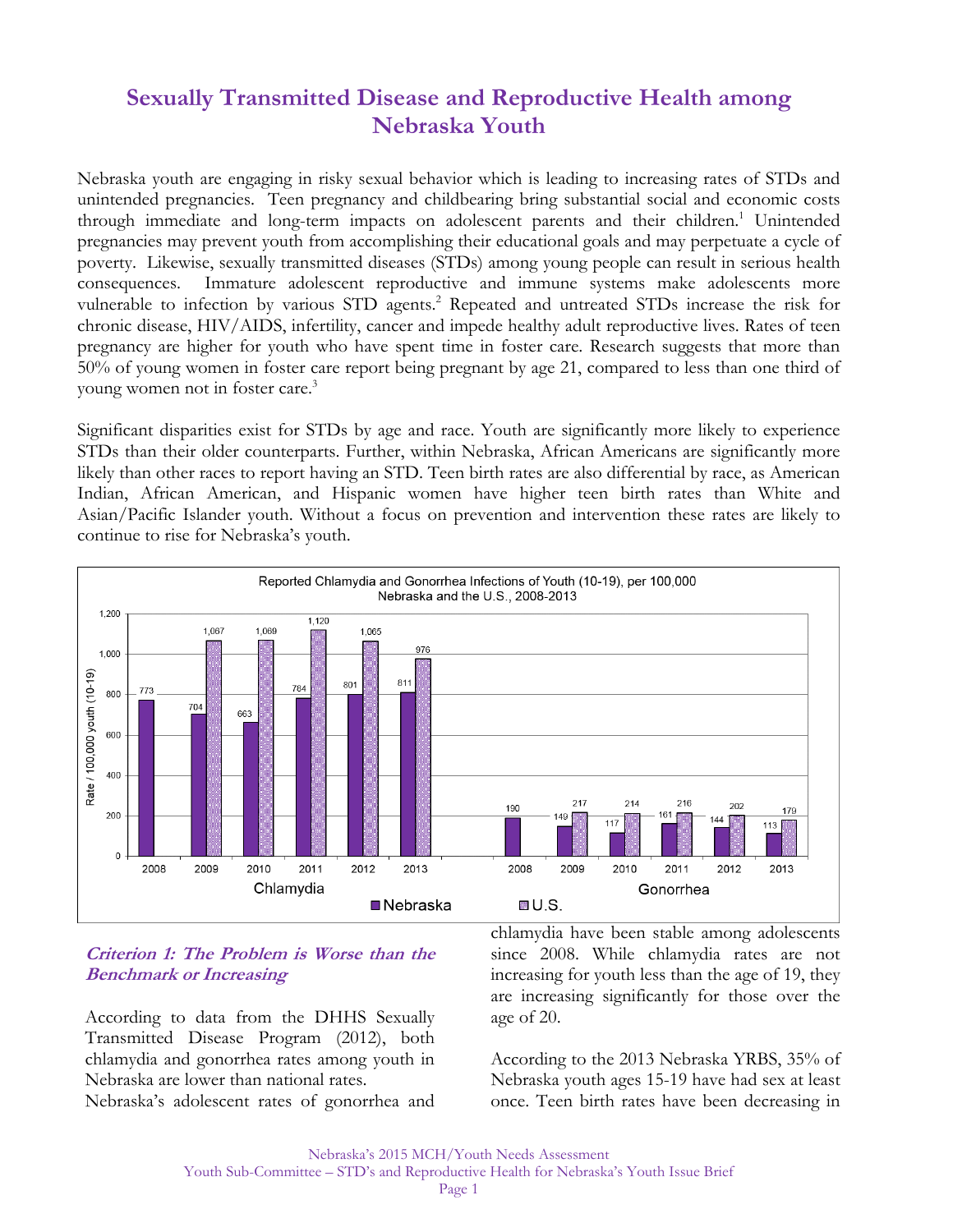# **Sexually Transmitted Disease and Reproductive Health among Nebraska Youth**

Nebraska youth are engaging in risky sexual behavior which is leading to increasing rates of STDs and unintended pregnancies. Teen pregnancy and childbearing bring substantial social and economic costs through immediate and long-term impacts on adolescent parents and their children.<sup>1</sup> Unintended pregnancies may prevent youth from accomplishing their educational goals and may perpetuate a cycle of poverty. Likewise, sexually transmitted diseases (STDs) among young people can result in serious health consequences. Immature adolescent reproductive and immune systems make adolescents more vulnerable to infection by various STD agents.<sup>2</sup> Repeated and untreated STDs increase the risk for chronic disease, HIV/AIDS, infertility, cancer and impede healthy adult reproductive lives. Rates of teen pregnancy are higher for youth who have spent time in foster care. Research suggests that more than 50% of young women in foster care report being pregnant by age 21, compared to less than one third of young women not in foster care.3

Significant disparities exist for STDs by age and race. Youth are significantly more likely to experience STDs than their older counterparts. Further, within Nebraska, African Americans are significantly more likely than other races to report having an STD. Teen birth rates are also differential by race, as American Indian, African American, and Hispanic women have higher teen birth rates than White and Asian/Pacific Islander youth. Without a focus on prevention and intervention these rates are likely to continue to rise for Nebraska's youth.



#### **Criterion 1: The Problem is Worse than the Benchmark or Increasing**

According to data from the DHHS Sexually Transmitted Disease Program (2012), both chlamydia and gonorrhea rates among youth in Nebraska are lower than national rates.

Nebraska's adolescent rates of gonorrhea and

chlamydia have been stable among adolescents since 2008. While chlamydia rates are not increasing for youth less than the age of 19, they are increasing significantly for those over the age of 20.

According to the 2013 Nebraska YRBS, 35% of Nebraska youth ages 15-19 have had sex at least once. Teen birth rates have been decreasing in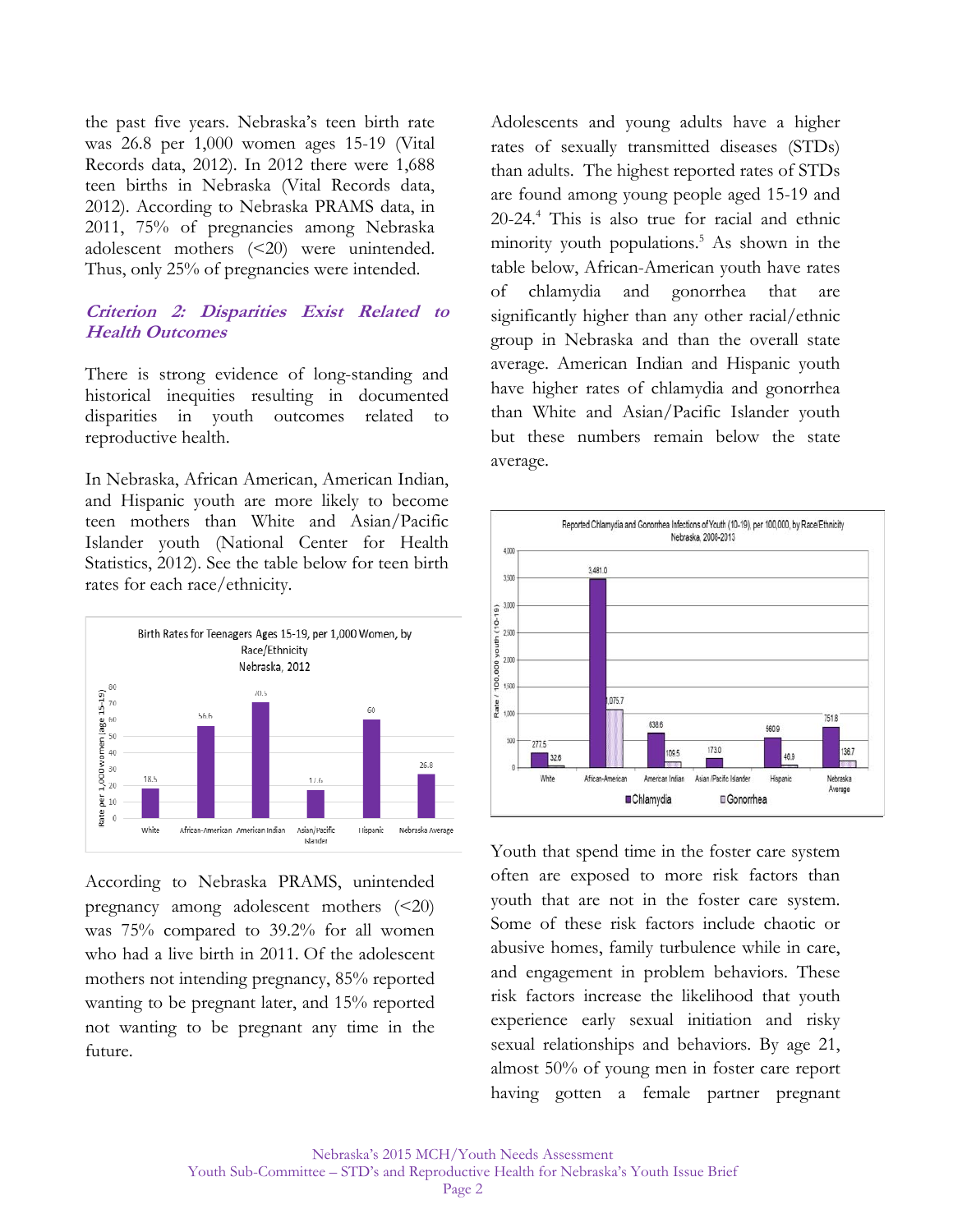the past five years. Nebraska's teen birth rate was 26.8 per 1,000 women ages 15-19 (Vital Records data, 2012). In 2012 there were 1,688 teen births in Nebraska (Vital Records data, 2012). According to Nebraska PRAMS data, in 2011, 75% of pregnancies among Nebraska adolescent mothers (<20) were unintended. Thus, only 25% of pregnancies were intended.

#### **Criterion 2: Disparities Exist Related to Health Outcomes**

There is strong evidence of long-standing and historical inequities resulting in documented disparities in youth outcomes related to reproductive health.

In Nebraska, African American, American Indian, and Hispanic youth are more likely to become teen mothers than White and Asian/Pacific Islander youth (National Center for Health Statistics, 2012). See the table below for teen birth rates for each race/ethnicity.



According to Nebraska PRAMS, unintended pregnancy among adolescent mothers (<20) was 75% compared to 39.2% for all women who had a live birth in 2011. Of the adolescent mothers not intending pregnancy, 85% reported wanting to be pregnant later, and 15% reported not wanting to be pregnant any time in the future.

Adolescents and young adults have a higher rates of sexually transmitted diseases (STDs) than adults. The highest reported rates of STDs are found among young people aged 15-19 and 20-24.4 This is also true for racial and ethnic minority youth populations.<sup>5</sup> As shown in the table below, African-American youth have rates of chlamydia and gonorrhea that are significantly higher than any other racial/ethnic group in Nebraska and than the overall state average. American Indian and Hispanic youth have higher rates of chlamydia and gonorrhea than White and Asian/Pacific Islander youth but these numbers remain below the state average.



Youth that spend time in the foster care system often are exposed to more risk factors than youth that are not in the foster care system. Some of these risk factors include chaotic or abusive homes, family turbulence while in care, and engagement in problem behaviors. These risk factors increase the likelihood that youth experience early sexual initiation and risky sexual relationships and behaviors. By age 21, almost 50% of young men in foster care report having gotten a female partner pregnant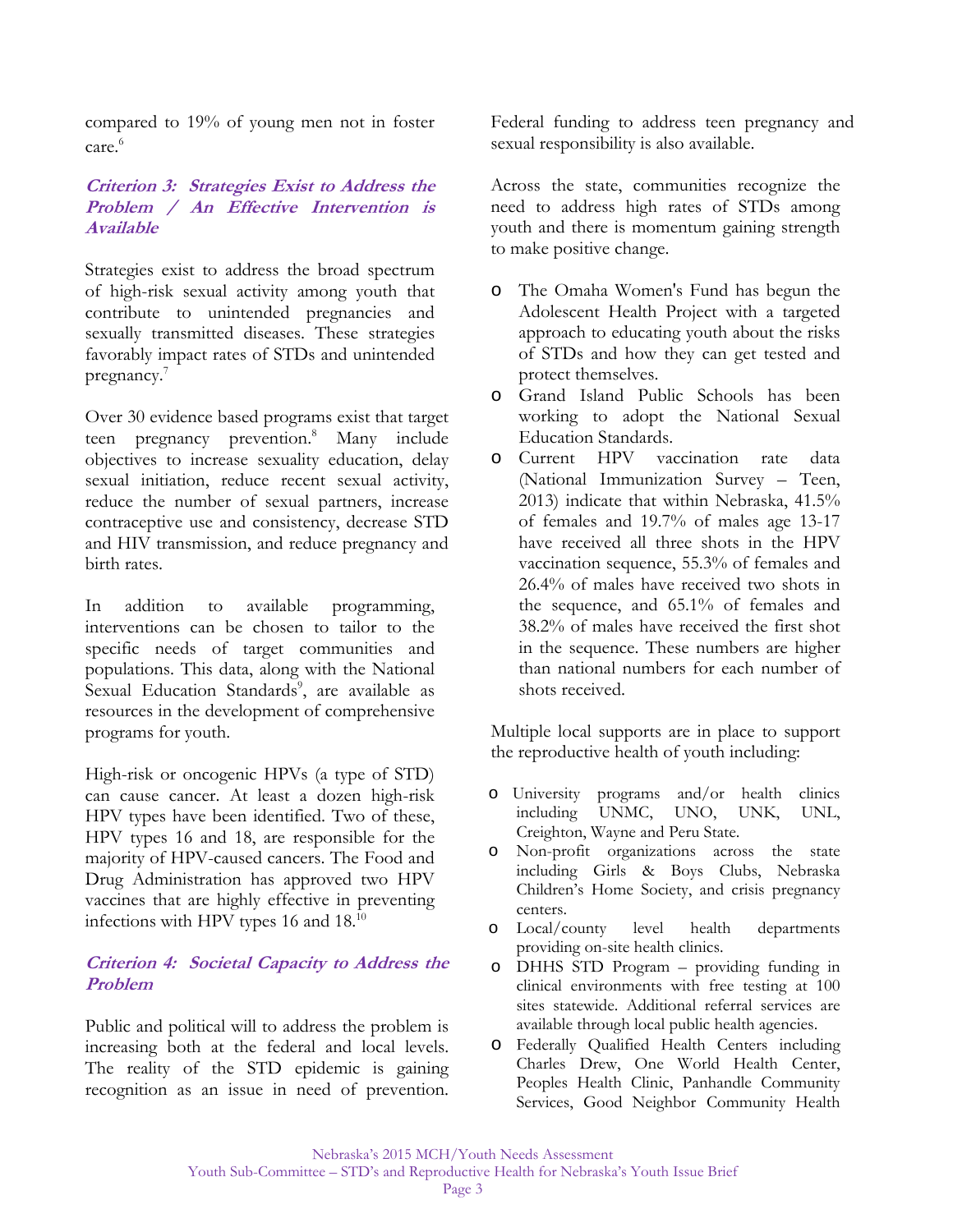compared to 19% of young men not in foster care.<sup>6</sup>

## **Criterion 3:****Strategies Exist to Address the Problem / An Effective Intervention is Available**

Strategies exist to address the broad spectrum of high-risk sexual activity among youth that contribute to unintended pregnancies and sexually transmitted diseases. These strategies favorably impact rates of STDs and unintended pregnancy.<sup>7</sup>

Over 30 evidence based programs exist that target teen pregnancy prevention.<sup>8</sup> Many include objectives to increase sexuality education, delay sexual initiation, reduce recent sexual activity, reduce the number of sexual partners, increase contraceptive use and consistency, decrease STD and HIV transmission, and reduce pregnancy and birth rates.

In addition to available programming, interventions can be chosen to tailor to the specific needs of target communities and populations. This data, along with the National Sexual Education Standards<sup>9</sup>, are available as resources in the development of comprehensive programs for youth.

High-risk or oncogenic HPVs (a type of STD) can cause cancer. At least a dozen high-risk HPV types have been identified. Two of these, HPV types 16 and 18, are responsible for the majority of HPV-caused cancers. The Food and Drug Administration has approved two HPV vaccines that are highly effective in preventing infections with HPV types 16 and 18.<sup>10</sup>

## **Criterion 4: Societal Capacity to Address the Problem**

Public and political will to address the problem is increasing both at the federal and local levels. The reality of the STD epidemic is gaining recognition as an issue in need of prevention.

Federal funding to address teen pregnancy and sexual responsibility is also available.

Across the state, communities recognize the need to address high rates of STDs among youth and there is momentum gaining strength to make positive change.

- o The Omaha Women's Fund has begun the Adolescent Health Project with a targeted approach to educating youth about the risks of STDs and how they can get tested and protect themselves.
- o Grand Island Public Schools has been working to adopt the National Sexual Education Standards.
- o Current HPV vaccination rate data (National Immunization Survey – Teen, 2013) indicate that within Nebraska, 41.5% of females and 19.7% of males age 13-17 have received all three shots in the HPV vaccination sequence, 55.3% of females and 26.4% of males have received two shots in the sequence, and 65.1% of females and 38.2% of males have received the first shot in the sequence. These numbers are higher than national numbers for each number of shots received.

Multiple local supports are in place to support the reproductive health of youth including:

- o University programs and/or health clinics including UNMC, UNO, UNK, UNL, Creighton, Wayne and Peru State.
- o Non-profit organizations across the state including Girls & Boys Clubs, Nebraska Children's Home Society, and crisis pregnancy centers.
- o Local/county level health departments providing on-site health clinics.
- o DHHS STD Program providing funding in clinical environments with free testing at 100 sites statewide. Additional referral services are available through local public health agencies.
- o Federally Qualified Health Centers including Charles Drew, One World Health Center, Peoples Health Clinic, Panhandle Community Services, Good Neighbor Community Health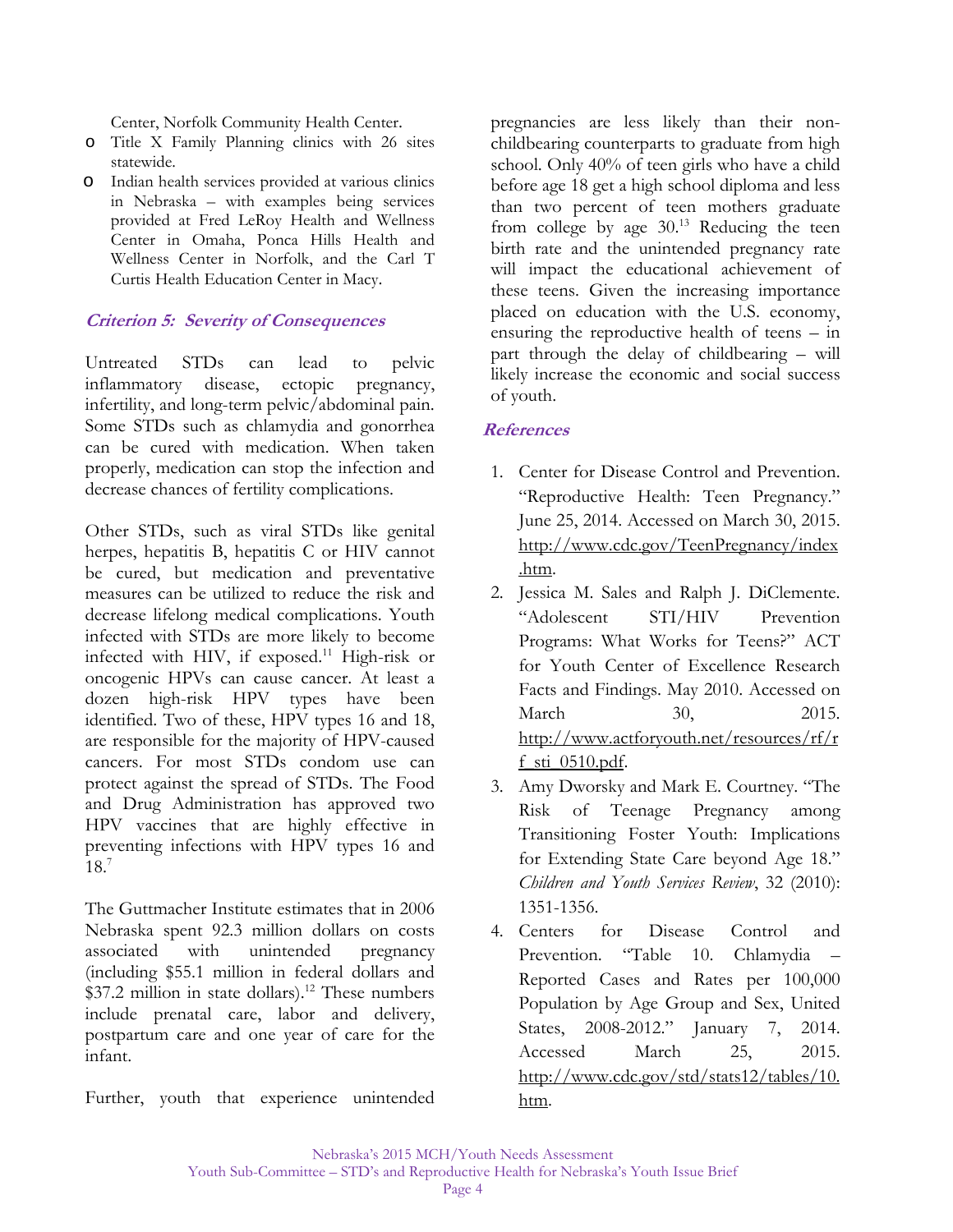Center, Norfolk Community Health Center.

- o Title X Family Planning clinics with 26 sites statewide.
- o Indian health services provided at various clinics in Nebraska – with examples being services provided at Fred LeRoy Health and Wellness Center in Omaha, Ponca Hills Health and Wellness Center in Norfolk, and the Carl T Curtis Health Education Center in Macy.

## **Criterion 5:****Severity of Consequences**

Untreated STDs can lead to pelvic inflammatory disease, ectopic pregnancy, infertility, and long-term pelvic/abdominal pain. Some STDs such as chlamydia and gonorrhea can be cured with medication. When taken properly, medication can stop the infection and decrease chances of fertility complications.

Other STDs, such as viral STDs like genital herpes, hepatitis B, hepatitis C or HIV cannot be cured, but medication and preventative measures can be utilized to reduce the risk and decrease lifelong medical complications. Youth infected with STDs are more likely to become infected with HIV, if exposed.<sup>11</sup> High-risk or oncogenic HPVs can cause cancer. At least a dozen high-risk HPV types have been identified. Two of these, HPV types 16 and 18, are responsible for the majority of HPV-caused cancers. For most STDs condom use can protect against the spread of STDs. The Food and Drug Administration has approved two HPV vaccines that are highly effective in preventing infections with HPV types 16 and 18.7

The Guttmacher Institute estimates that in 2006 Nebraska spent 92.3 million dollars on costs associated with unintended pregnancy (including \$55.1 million in federal dollars and  $$37.2$  million in state dollars).<sup>12</sup> These numbers include prenatal care, labor and delivery, postpartum care and one year of care for the infant.

Further, youth that experience unintended

pregnancies are less likely than their nonchildbearing counterparts to graduate from high school. Only 40% of teen girls who have a child before age 18 get a high school diploma and less than two percent of teen mothers graduate from college by age  $30<sup>13</sup>$  Reducing the teen birth rate and the unintended pregnancy rate will impact the educational achievement of these teens. Given the increasing importance placed on education with the U.S. economy, ensuring the reproductive health of teens – in part through the delay of childbearing – will likely increase the economic and social success of youth.

#### **References**

- 1. Center for Disease Control and Prevention. "Reproductive Health: Teen Pregnancy." June 25, 2014. Accessed on March 30, 2015. http://www.cdc.gov/TeenPregnancy/index .htm.
- 2. Jessica M. Sales and Ralph J. DiClemente. "Adolescent STI/HIV Prevention Programs: What Works for Teens?" ACT for Youth Center of Excellence Research Facts and Findings. May 2010. Accessed on March 30, 2015. http://www.actforyouth.net/resources/rf/r f\_sti\_0510.pdf.
- 3. Amy Dworsky and Mark E. Courtney. "The Risk of Teenage Pregnancy among Transitioning Foster Youth: Implications for Extending State Care beyond Age 18." *Children and Youth Services Review*, 32 (2010): 1351-1356.
- 4. Centers for Disease Control and Prevention. "Table 10. Chlamydia – Reported Cases and Rates per 100,000 Population by Age Group and Sex, United States, 2008-2012." January 7, 2014. Accessed March 25, 2015. http://www.cdc.gov/std/stats12/tables/10. htm.